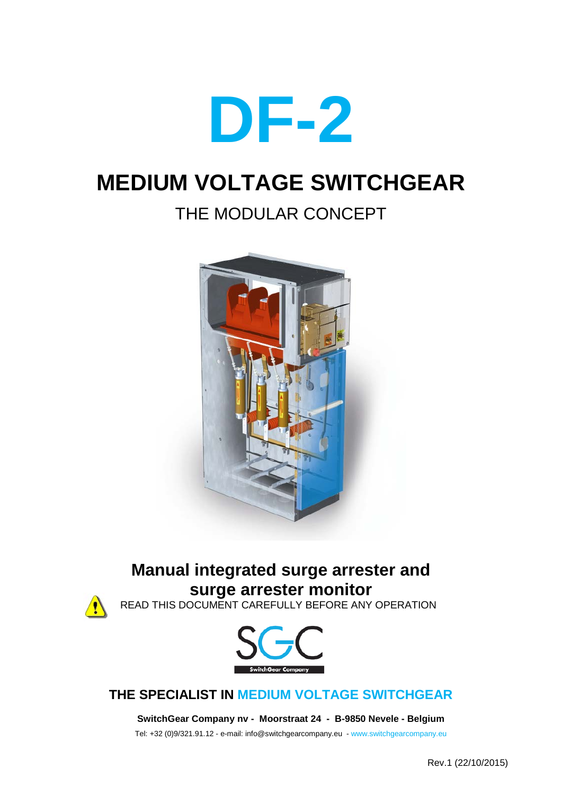

# **MEDIUM VOLTAGE SWITCHGEAR**

# THE MODULAR CONCEPT



# **Manual integrated surge arrester and surge arrester monitor**



READ THIS DOCUMENT CAREFULLY BEFORE ANY OPERATION



# **THE SPECIALIST IN MEDIUM VOLTAGE SWITCHGEAR**

**SwitchGear Company nv - Moorstraat 24 - B-9850 Nevele - Belgium**

Tel: +32 (0)9/321.91.12 - e-mail: info@switchgearcompany.eu - www.switchgearcompany.eu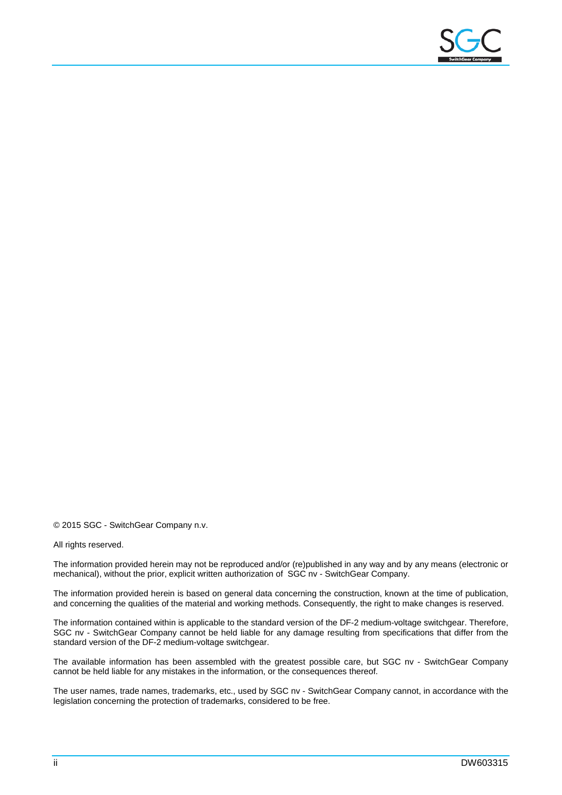

© 2015 SGC - SwitchGear Company n.v.

#### All rights reserved.

The information provided herein may not be reproduced and/or (re)published in any way and by any means (electronic or mechanical), without the prior, explicit written authorization of SGC nv - SwitchGear Company.

The information provided herein is based on general data concerning the construction, known at the time of publication, and concerning the qualities of the material and working methods. Consequently, the right to make changes is reserved.

The information contained within is applicable to the standard version of the DF-2 medium-voltage switchgear. Therefore, SGC nv - SwitchGear Company cannot be held liable for any damage resulting from specifications that differ from the standard version of the DF-2 medium-voltage switchgear.

The available information has been assembled with the greatest possible care, but SGC nv - SwitchGear Company cannot be held liable for any mistakes in the information, or the consequences thereof.

The user names, trade names, trademarks, etc., used by SGC nv - SwitchGear Company cannot, in accordance with the legislation concerning the protection of trademarks, considered to be free.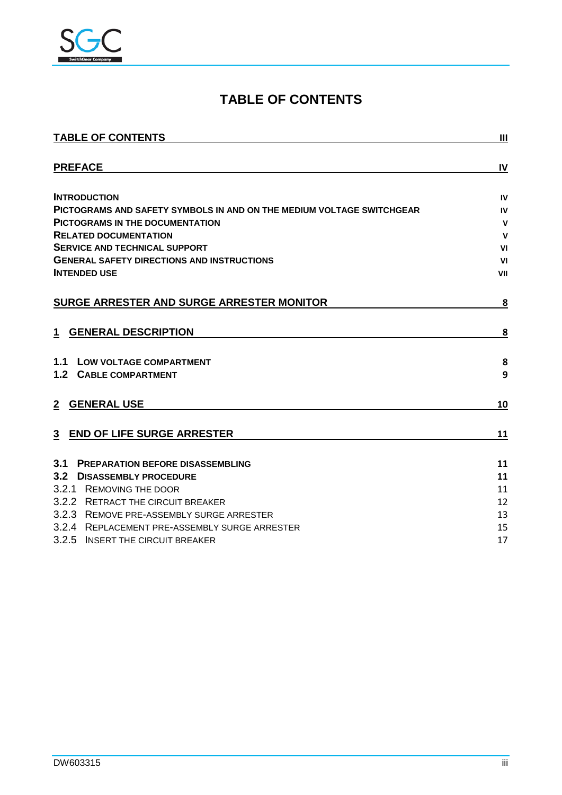

# **TABLE OF CONTENTS**

<span id="page-2-0"></span>

| <b>TABLE OF CONTENTS</b>                                              | $\mathbf{III}$ |
|-----------------------------------------------------------------------|----------------|
| <b>PREFACE</b>                                                        | IV             |
| <b>INTRODUCTION</b>                                                   | IV             |
| PICTOGRAMS AND SAFETY SYMBOLS IN AND ON THE MEDIUM VOLTAGE SWITCHGEAR | IV             |
| <b>PICTOGRAMS IN THE DOCUMENTATION</b>                                | $\mathbf v$    |
| <b>RELATED DOCUMENTATION</b>                                          | $\mathbf v$    |
| <b>SERVICE AND TECHNICAL SUPPORT</b>                                  | VI             |
| <b>GENERAL SAFETY DIRECTIONS AND INSTRUCTIONS</b>                     | V <sub>1</sub> |
| <b>INTENDED USE</b>                                                   | VII            |
| SURGE ARRESTER AND SURGE ARRESTER MONITOR                             | 8              |
| <b>GENERAL DESCRIPTION</b><br>1                                       | 8              |
| 1.1<br><b>LOW VOLTAGE COMPARTMENT</b>                                 | 8              |
| 1.2 <sub>1</sub><br><b>CABLE COMPARTMENT</b>                          | 9              |
| <b>GENERAL USE</b><br>$\mathbf{2}$                                    | 10             |
| <b>END OF LIFE SURGE ARRESTER</b><br>$\overline{3}$                   | 11             |
| 3.1<br><b>PREPARATION BEFORE DISASSEMBLING</b>                        | 11             |
| 3.2<br><b>DISASSEMBLY PROCEDURE</b>                                   | 11             |
| 3.2.1 REMOVING THE DOOR                                               | 11             |
| 3.2.2 RETRACT THE CIRCUIT BREAKER                                     | 12             |
| 3.2.3 REMOVE PRE-ASSEMBLY SURGE ARRESTER                              | 13             |
| 3.2.4 REPLACEMENT PRE-ASSEMBLY SURGE ARRESTER                         | 15             |
| 3.2.5 INSERT THE CIRCUIT BREAKER                                      | 17             |
|                                                                       |                |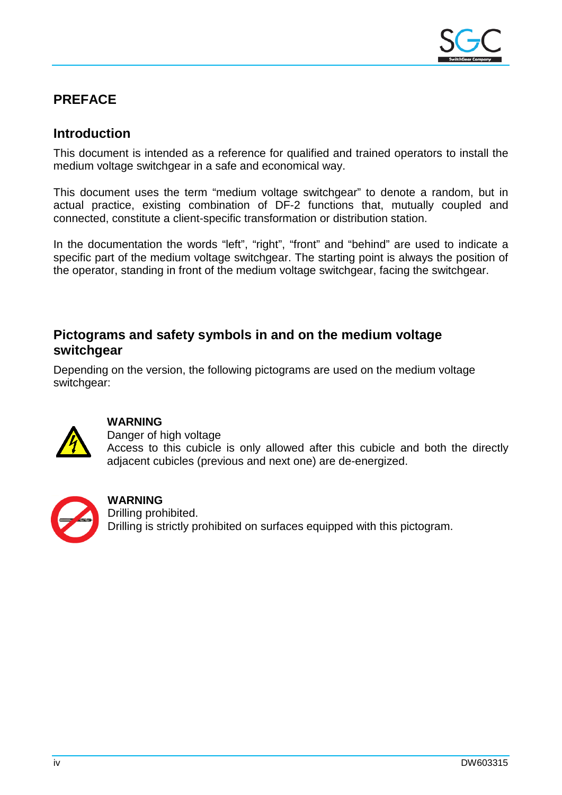

# <span id="page-3-0"></span>**PREFACE**

### <span id="page-3-1"></span>**Introduction**

This document is intended as a reference for qualified and trained operators to install the medium voltage switchgear in a safe and economical way.

This document uses the term "medium voltage switchgear" to denote a random, but in actual practice, existing combination of DF-2 functions that, mutually coupled and connected, constitute a client-specific transformation or distribution station.

In the documentation the words "left", "right", "front" and "behind" are used to indicate a specific part of the medium voltage switchgear. The starting point is always the position of the operator, standing in front of the medium voltage switchgear, facing the switchgear.

### <span id="page-3-2"></span>**Pictograms and safety symbols in and on the medium voltage switchgear**

Depending on the version, the following pictograms are used on the medium voltage switchgear:



#### **WARNING**

Danger of high voltage Access to this cubicle is only allowed after this cubicle and both the directly adjacent cubicles (previous and next one) are de-energized.



#### **WARNING**

Drilling prohibited. Drilling is strictly prohibited on surfaces equipped with this pictogram.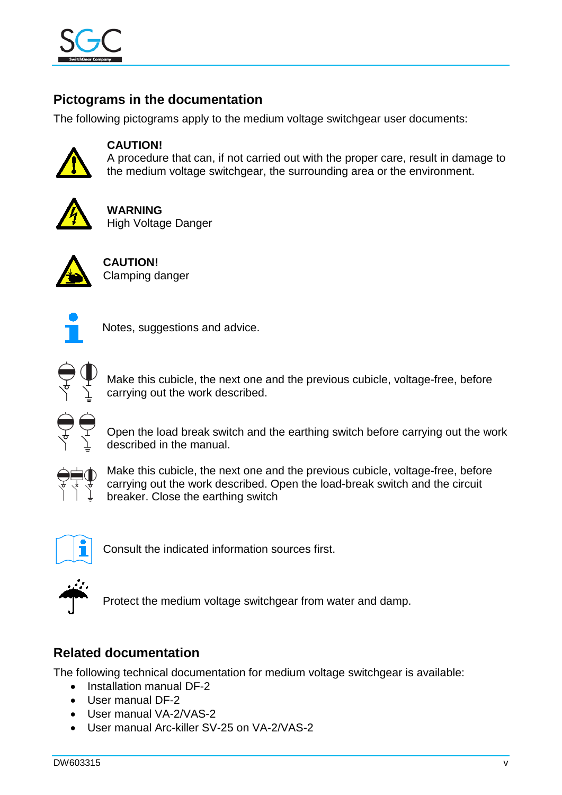

# <span id="page-4-0"></span>**Pictograms in the documentation**

The following pictograms apply to the medium voltage switchgear user documents:



#### **CAUTION!**

A procedure that can, if not carried out with the proper care, result in damage to the medium voltage switchgear, the surrounding area or the environment.



**WARNING**  High Voltage Danger



**CAUTION!** Clamping danger



Notes, suggestions and advice.



Make this cubicle, the next one and the previous cubicle, voltage-free, before carrying out the work described.



Open the load break switch and the earthing switch before carrying out the work described in the manual.



Make this cubicle, the next one and the previous cubicle, voltage-free, before carrying out the work described. Open the load-break switch and the circuit breaker. Close the earthing switch



Consult the indicated information sources first.



Protect the medium voltage switchgear from water and damp.

## <span id="page-4-1"></span>**Related documentation**

The following technical documentation for medium voltage switchgear is available:

- Installation manual DF-2
- User manual DF-2
- User manual VA-2/VAS-2
- User manual Arc-killer SV-25 on VA-2/VAS-2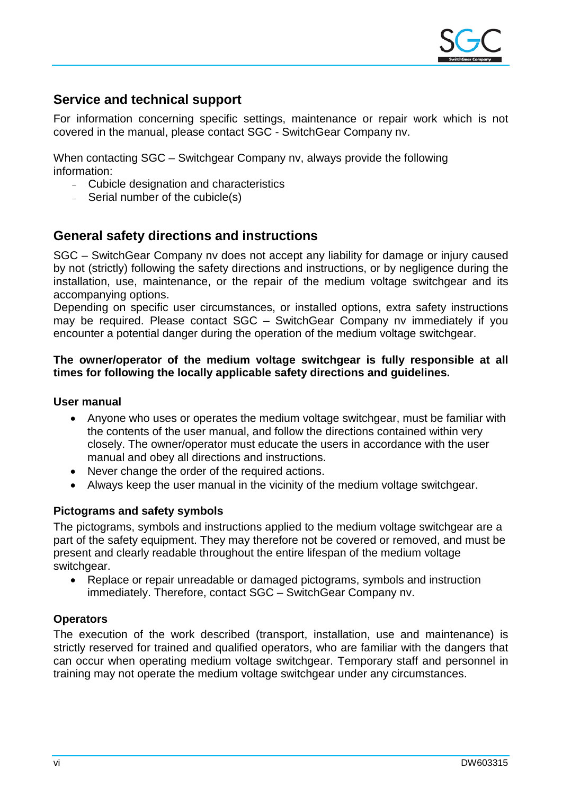

### <span id="page-5-0"></span>**Service and technical support**

For information concerning specific settings, maintenance or repair work which is not covered in the manual, please contact SGC - SwitchGear Company nv.

When contacting SGC – Switchgear Company nv, always provide the following information:

- <sup>−</sup> Cubicle designation and characteristics
- Serial number of the cubicle(s)

### <span id="page-5-1"></span>**General safety directions and instructions**

SGC – SwitchGear Company nv does not accept any liability for damage or injury caused by not (strictly) following the safety directions and instructions, or by negligence during the installation, use, maintenance, or the repair of the medium voltage switchgear and its accompanying options.

Depending on specific user circumstances, or installed options, extra safety instructions may be required. Please contact SGC – SwitchGear Company nv immediately if you encounter a potential danger during the operation of the medium voltage switchgear.

#### **The owner/operator of the medium voltage switchgear is fully responsible at all times for following the locally applicable safety directions and guidelines.**

#### **User manual**

- Anyone who uses or operates the medium voltage switchgear, must be familiar with the contents of the user manual, and follow the directions contained within very closely. The owner/operator must educate the users in accordance with the user manual and obey all directions and instructions.
- Never change the order of the required actions.
- Always keep the user manual in the vicinity of the medium voltage switchgear.

#### **Pictograms and safety symbols**

The pictograms, symbols and instructions applied to the medium voltage switchgear are a part of the safety equipment. They may therefore not be covered or removed, and must be present and clearly readable throughout the entire lifespan of the medium voltage switchgear.

• Replace or repair unreadable or damaged pictograms, symbols and instruction immediately. Therefore, contact SGC – SwitchGear Company nv.

#### **Operators**

The execution of the work described (transport, installation, use and maintenance) is strictly reserved for trained and qualified operators, who are familiar with the dangers that can occur when operating medium voltage switchgear. Temporary staff and personnel in training may not operate the medium voltage switchgear under any circumstances.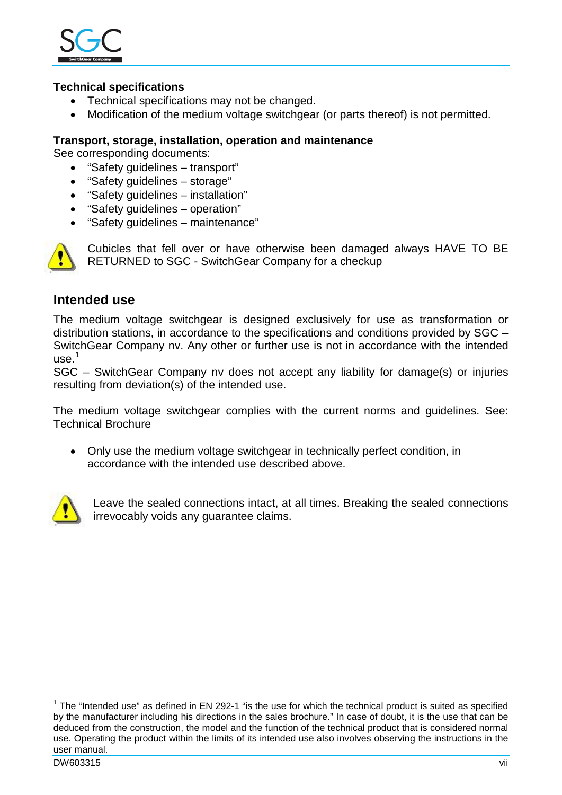

#### **Technical specifications**

- Technical specifications may not be changed.
- Modification of the medium voltage switchgear (or parts thereof) is not permitted.

#### **Transport, storage, installation, operation and maintenance**

See corresponding documents:

- "Safety guidelines transport"
- "Safety guidelines storage"
- "Safety guidelines installation"
- "Safety guidelines operation"
- "Safety guidelines maintenance"



Cubicles that fell over or have otherwise been damaged always HAVE TO BE RETURNED to SGC - SwitchGear Company for a checkup

#### <span id="page-6-0"></span>**Intended use**

The medium voltage switchgear is designed exclusively for use as transformation or distribution stations, in accordance to the specifications and conditions provided by SGC – SwitchGear Company nv. Any other or further use is not in accordance with the intended use. $1$ 

SGC – SwitchGear Company nv does not accept any liability for damage(s) or injuries resulting from deviation(s) of the intended use.

The medium voltage switchgear complies with the current norms and guidelines. See: Technical Brochure

• Only use the medium voltage switchgear in technically perfect condition, in accordance with the intended use described above.



Leave the sealed connections intact, at all times. Breaking the sealed connections irrevocably voids any guarantee claims.

<span id="page-6-1"></span> $1$  The "Intended use" as defined in EN 292-1 "is the use for which the technical product is suited as specified by the manufacturer including his directions in the sales brochure." In case of doubt, it is the use that can be deduced from the construction, the model and the function of the technical product that is considered normal use. Operating the product within the limits of its intended use also involves observing the instructions in the user manual.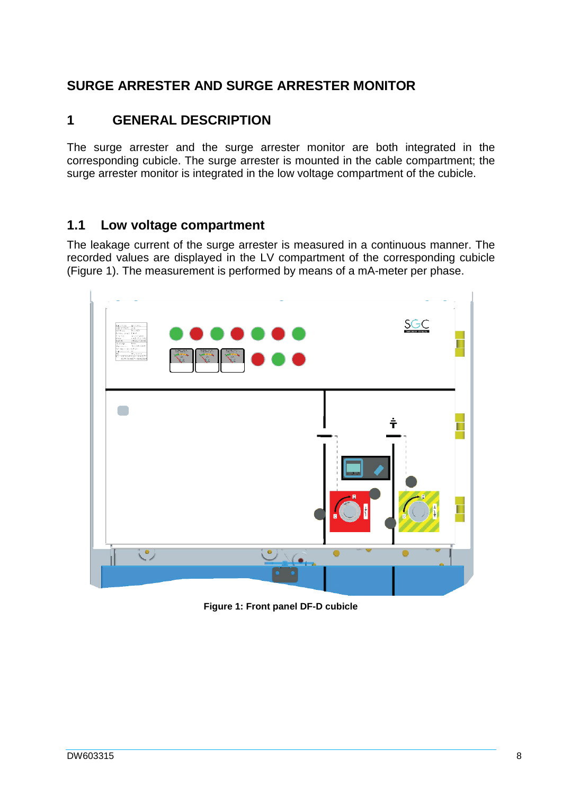# <span id="page-7-0"></span>**SURGE ARRESTER AND SURGE ARRESTER MONITOR**

## <span id="page-7-1"></span>**1 GENERAL DESCRIPTION**

The surge arrester and the surge arrester monitor are both integrated in the corresponding cubicle. The surge arrester is mounted in the cable compartment; the surge arrester monitor is integrated in the low voltage compartment of the cubicle.

### <span id="page-7-2"></span>**1.1 Low voltage compartment**

The leakage current of the surge arrester is measured in a continuous manner. The recorded values are displayed in the LV compartment of the corresponding cubicle [\(Figure 1\)](#page-7-3). The measurement is performed by means of a mA-meter per phase.

<span id="page-7-3"></span>

**Figure 1: Front panel DF-D cubicle**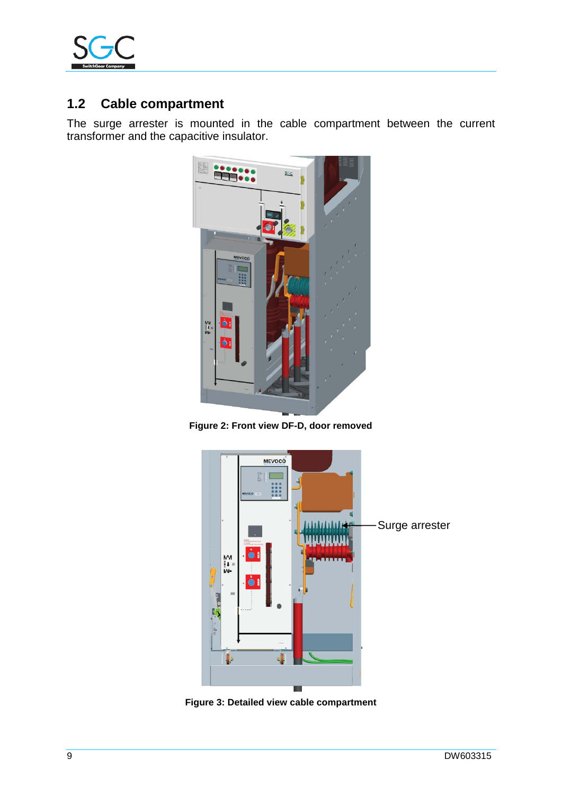

# <span id="page-8-0"></span>**1.2 Cable compartment**

The surge arrester is mounted in the cable compartment between the current transformer and the capacitive insulator.



**Figure 2: Front view DF-D, door removed**



**Figure 3: Detailed view cable compartment**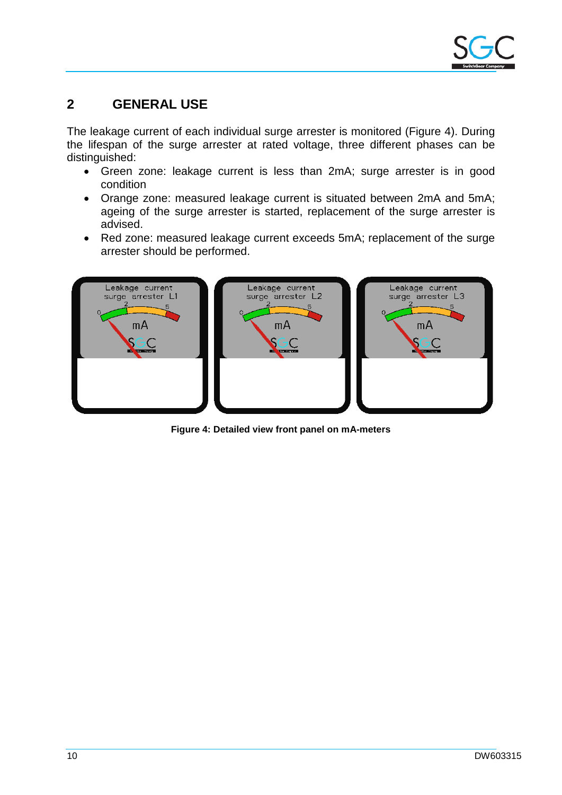# <span id="page-9-0"></span>**2 GENERAL USE**

The leakage current of each individual surge arrester is monitored [\(Figure 4\)](#page-9-1). During the lifespan of the surge arrester at rated voltage, three different phases can be distinguished:

- Green zone: leakage current is less than 2mA; surge arrester is in good condition
- Orange zone: measured leakage current is situated between 2mA and 5mA; ageing of the surge arrester is started, replacement of the surge arrester is advised.
- Red zone: measured leakage current exceeds 5mA; replacement of the surge arrester should be performed.



<span id="page-9-1"></span>**Figure 4: Detailed view front panel on mA-meters**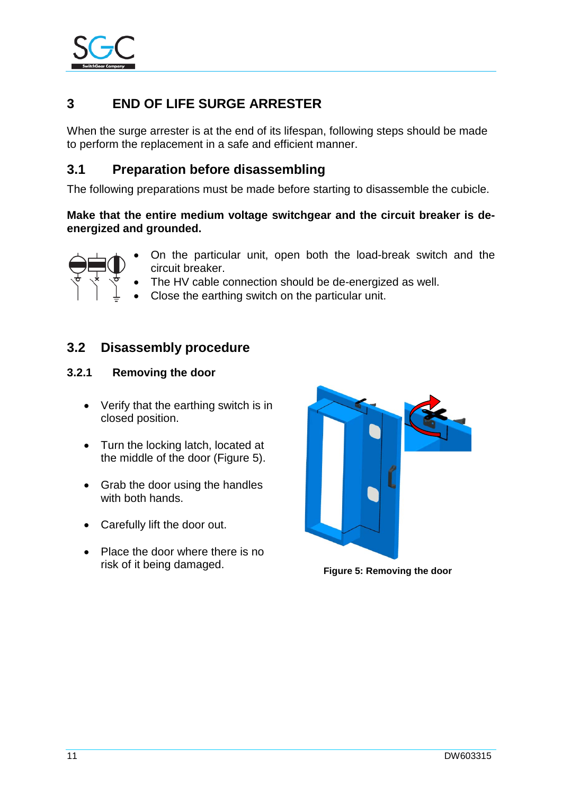

# <span id="page-10-0"></span>**3 END OF LIFE SURGE ARRESTER**

When the surge arrester is at the end of its lifespan, following steps should be made to perform the replacement in a safe and efficient manner.

### <span id="page-10-1"></span>**3.1 Preparation before disassembling**

The following preparations must be made before starting to disassemble the cubicle.

#### **Make that the entire medium voltage switchgear and the circuit breaker is deenergized and grounded.**



- On the particular unit, open both the load-break switch and the circuit breaker.
- The HV cable connection should be de-energized as well.
- Close the earthing switch on the particular unit.

### <span id="page-10-2"></span>**3.2 Disassembly procedure**

#### <span id="page-10-3"></span>**3.2.1 Removing the door**

- Verify that the earthing switch is in closed position.
- Turn the locking latch, located at the middle of the door [\(Figure 5\)](#page-10-4).
- Grab the door using the handles with both hands.
- Carefully lift the door out.
- Place the door where there is no risk of it being damaged. **Figure 5: Removing the door**

<span id="page-10-4"></span>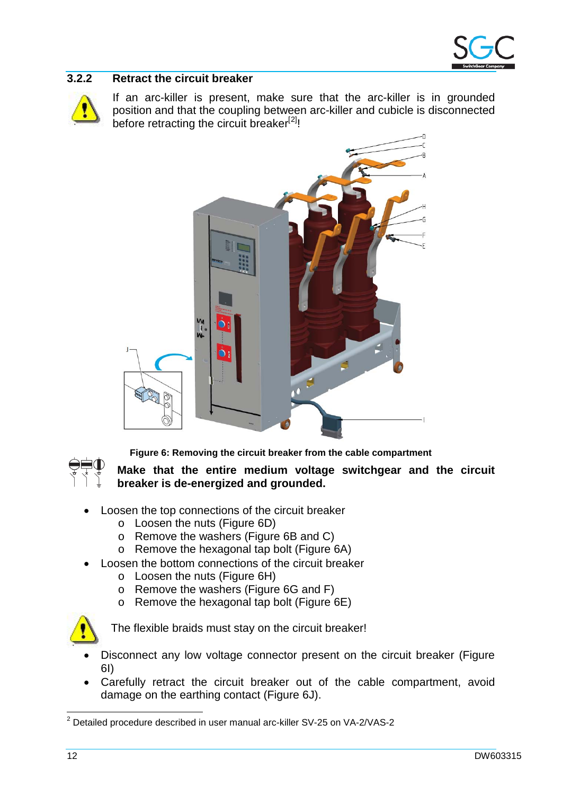

#### <span id="page-11-0"></span>**3.2.2 Retract the circuit breaker**



If an arc-killer is present, make sure that the arc-killer is in grounded position and that the coupling between arc-killer and cubicle is disconnected before retracting the circuit breaker<sup>[[2\]](#page-11-2)</sup>!

<span id="page-11-3"></span>

<span id="page-11-1"></span>

**Figure 6: Removing the circuit breaker from the cable compartment**

**Make that the entire medium voltage switchgear and the circuit breaker is de-energized and grounded.**

- Loosen the top connections of the circuit breaker
	- o Loosen the nuts [\(Figure 6D](#page-11-1))
	- o Remove the washers [\(Figure 6B](#page-11-1) and C)
	- o Remove the hexagonal tap bolt [\(Figure 6A](#page-11-1))
- Loosen the bottom connections of the circuit breaker
	- o Loosen the nuts [\(Figure 6H](#page-11-1))
	- o Remove the washers [\(Figure 6G](#page-11-1) and F)
	- o Remove the hexagonal tap bolt [\(Figure 6E](#page-11-1))



The flexible braids must stay on the circuit breaker!

- Disconnect any low voltage connector present on the circuit breaker [\(Figure](#page-11-1)  [6I](#page-11-1))
- Carefully retract the circuit breaker out of the cable compartment, avoid damage on the earthing contact [\(Figure 6J](#page-11-1)).

<span id="page-11-2"></span> <sup>2</sup> Detailed procedure described in user manual arc-killer SV-25 on VA-2/VAS-2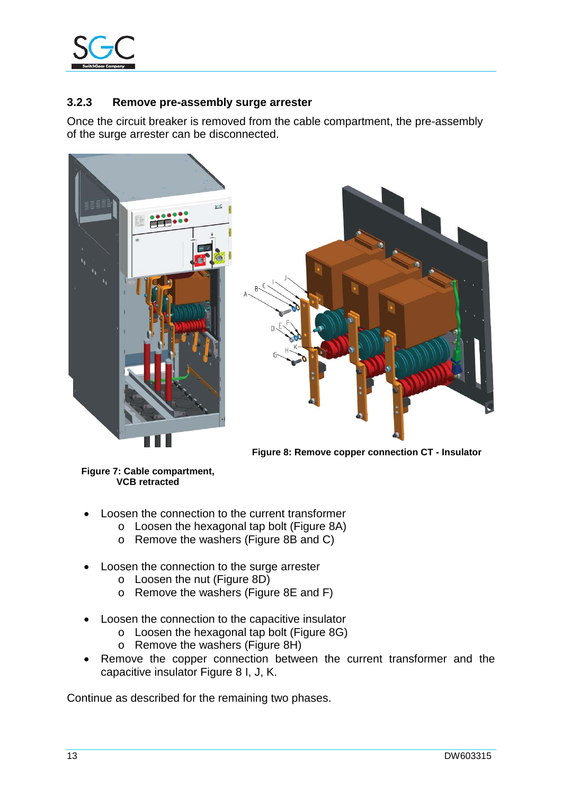

#### <span id="page-12-0"></span>**3.2.3 Remove pre-assembly surge arrester**

Once the circuit breaker is removed from the cable compartment, the pre-assembly of the surge arrester can be disconnected.





<span id="page-12-1"></span>**Figure 8: Remove copper connection CT - Insulator**

**Figure 7: Cable compartment, VCB retracted**

- Loosen the connection to the current transformer
	- o Loosen the hexagonal tap bolt [\(Figure 8A](#page-12-1))
		- o Remove the washers [\(Figure 8B](#page-12-1) and C)
- Loosen the connection to the surge arrester
	- o Loosen the nut [\(Figure 8D](#page-12-1))
	- o Remove the washers [\(Figure 8E](#page-12-1) and F)
- Loosen the connection to the capacitive insulator
	- o Loosen the hexagonal tap bolt [\(Figure 8G](#page-12-1))
	- o Remove the washers [\(Figure 8H](#page-12-1))
- Remove the copper connection between the current transformer and the capacitive insulator [Figure 8](#page-12-1) I, J, K.

Continue as described for the remaining two phases.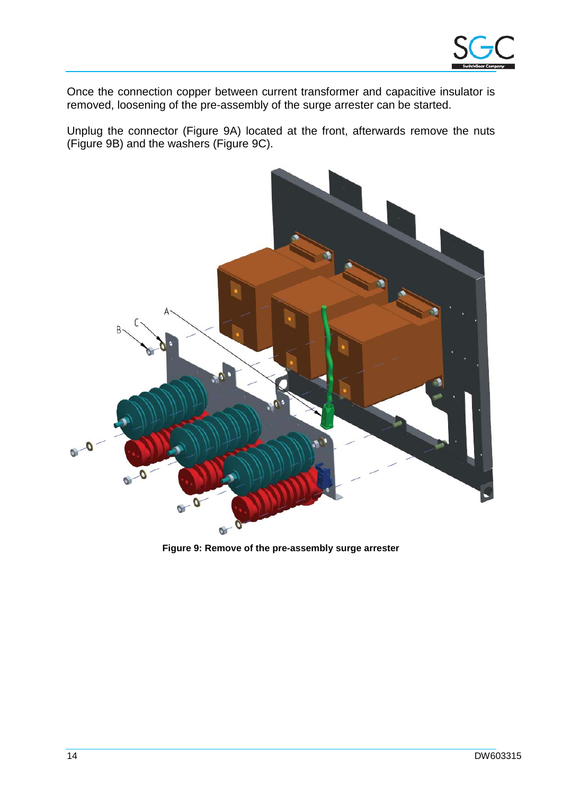

Once the connection copper between current transformer and capacitive insulator is removed, loosening of the pre-assembly of the surge arrester can be started.

Unplug the connector [\(Figure 9A](#page-13-0)) located at the front, afterwards remove the nuts [\(Figure 9B](#page-13-0)) and the washers [\(Figure 9C](#page-13-0)).

<span id="page-13-0"></span>

**Figure 9: Remove of the pre-assembly surge arrester**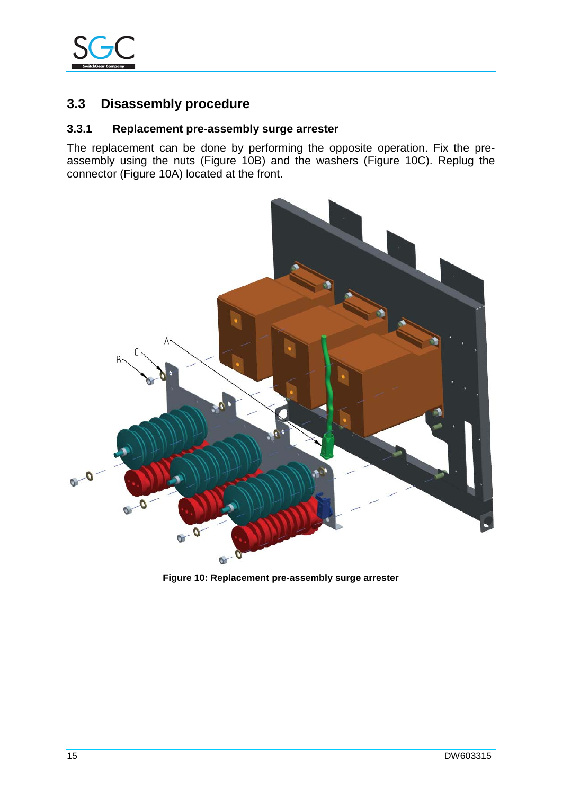

# **3.3 Disassembly procedure**

#### <span id="page-14-0"></span>**3.3.1 Replacement pre-assembly surge arrester**

The replacement can be done by performing the opposite operation. Fix the preassembly using the nuts [\(Figure 10B](#page-14-1)) and the washers [\(Figure 10C](#page-14-1)). Replug the connector [\(Figure 10A](#page-14-1)) located at the front.

<span id="page-14-1"></span>

**Figure 10: Replacement pre-assembly surge arrester**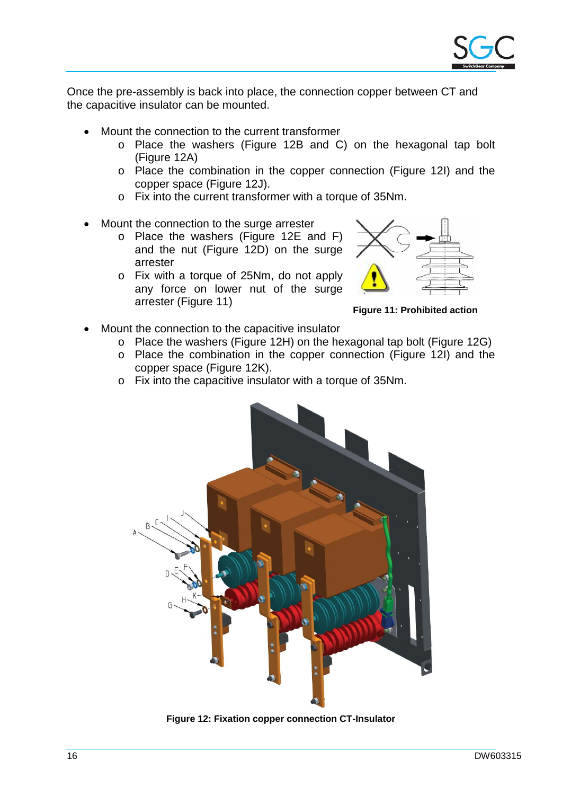

Once the pre-assembly is back into place, the connection copper between CT and the capacitive insulator can be mounted.

- Mount the connection to the current transformer
	- o Place the washers [\(Figure 12B](#page-15-0) and C) on the hexagonal tap bolt [\(Figure 12A](#page-15-0))
	- o Place the combination in the copper connection [\(Figure 12I](#page-15-0)) and the copper space [\(Figure 12J](#page-15-0)).
	- o Fix into the current transformer with a torque of 35Nm.
- Mount the connection to the surge arrester
	- o Place the washers [\(Figure 12E](#page-15-0) and F) and the nut [\(Figure 12D](#page-15-0)) on the surge arrester
	- o Fix with a torque of 25Nm, do not apply any force on lower nut of the surge arrester [\(Figure 11\)](#page-15-1) **Figure 11: Prohibited action**



<span id="page-15-1"></span>

- Mount the connection to the capacitive insulator
	- o Place the washers [\(Figure 12H](#page-15-0)) on the hexagonal tap bolt [\(Figure 12G](#page-15-0))
	- o Place the combination in the copper connection [\(Figure 12I](#page-15-0)) and the copper space [\(Figure 12K](#page-15-0)).
	- o Fix into the capacitive insulator with a torque of 35Nm.

<span id="page-15-0"></span>

**Figure 12: Fixation copper connection CT-Insulator**